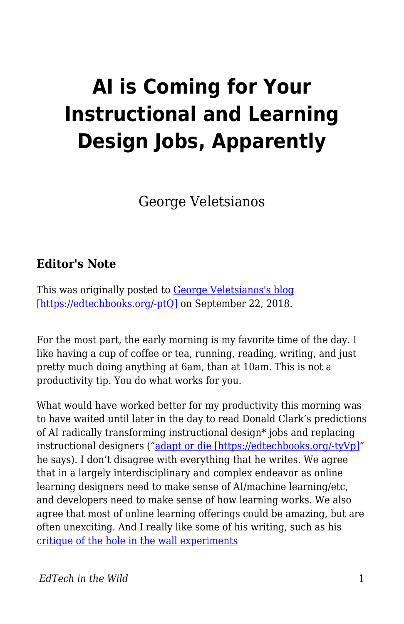## **AI is Coming for Your Instructional and Learning Design Jobs, Apparently**

George Veletsianos

## **Editor's Note**

This was originally posted to [George Veletsianos's blog](http://www.veletsianos.com/2018/09/22/ai-is-coming-for-your-instructional-and-learning-design-jobs-apparently/) [\[https://edtechbooks.org/-ptQ\]](http://www.veletsianos.com/2018/09/22/ai-is-coming-for-your-instructional-and-learning-design-jobs-apparently/) on September 22, 2018.

For the most part, the early morning is my favorite time of the day. I like having a cup of coffee or tea, running, reading, writing, and just pretty much doing anything at 6am, than at 10am. This is not a productivity tip. You do what works for you.

What would have worked better for my productivity this morning was to have waited until later in the day to read Donald Clark's predictions of AI radically transforming instructional design\* jobs and replacing instructional designers (["adapt or die \[https://edtechbooks.org/-tyVp\]"](http://donaldclarkplanb.blogspot.com/2018/09/learning-designers-will-have-to-adapt.html) he says). I don't disagree with everything that he writes. We agree that in a largely interdisciplinary and complex endeavor as online learning designers need to make sense of AI/machine learning/etc, and developers need to make sense of how learning works. We also agree that most of online learning offerings could be amazing, but are often unexciting. And I really like some of his writing, such as his [critique of the hole in the wall experiments](http://donaldclarkplanb.blogspot.com/2013/03/sugata-mitra-slum-chic-7-reasons-for.html)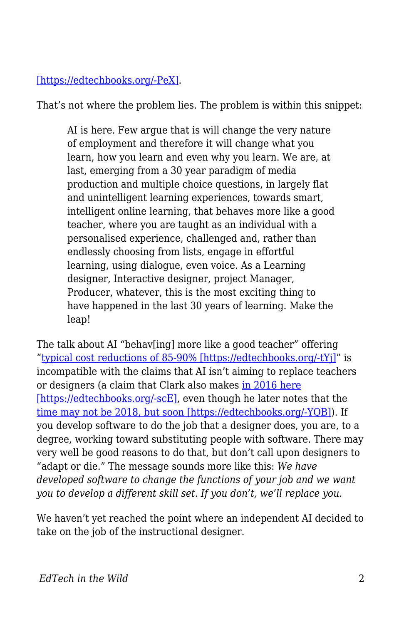## [\[https://edtechbooks.org/-PeX\]](http://donaldclarkplanb.blogspot.com/2013/03/sugata-mitra-slum-chic-7-reasons-for.html).

That's not where the problem lies. The problem is within this snippet:

AI is here. Few argue that is will change the very nature of employment and therefore it will change what you learn, how you learn and even why you learn. We are, at last, emerging from a 30 year paradigm of media production and multiple choice questions, in largely flat and unintelligent learning experiences, towards smart, intelligent online learning, that behaves more like a good teacher, where you are taught as an individual with a personalised experience, challenged and, rather than endlessly choosing from lists, engage in effortful learning, using dialogue, even voice. As a Learning designer, Interactive designer, project Manager, Producer, whatever, this is the most exciting thing to have happened in the last 30 years of learning. Make the leap!

The talk about AI "behav[ing] more like a good teacher" offering "[typical cost reductions of 85-90% \[https://edtechbooks.org/-tYj\]"](http://www.wildfirelearning.co.uk/news/) is incompatible with the claims that AI isn't aiming to replace teachers or designers (a claim that Clark also makes [in 2016 here](https://donaldclarkplanb.blogspot.com/2016/07/could-ai-replace-teachers-10-ways-it_4.html) [\[https://edtechbooks.org/-scE\],](https://donaldclarkplanb.blogspot.com/2016/07/could-ai-replace-teachers-10-ways-it_4.html) even though he later notes that the [time may not be 2018, but soon \[https://edtechbooks.org/-YQB\]\)](http://donaldclarkplanb.blogspot.com/2018/06/personalised-learning-what-hell-is-it.html). If you develop software to do the job that a designer does, you are, to a degree, working toward substituting people with software. There may very well be good reasons to do that, but don't call upon designers to "adapt or die." The message sounds more like this: *We have developed software to change the functions of your job and we want you to develop a different skill set. If you don't, we'll replace you.*

We haven't yet reached the point where an independent AI decided to take on the job of the instructional designer.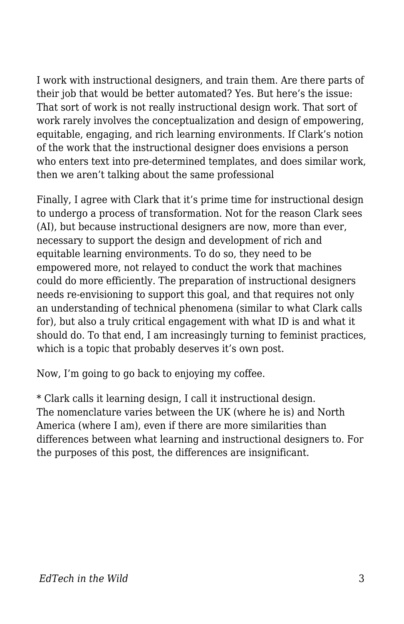I work with instructional designers, and train them. Are there parts of their job that would be better automated? Yes. But here's the issue: That sort of work is not really instructional design work. That sort of work rarely involves the conceptualization and design of empowering, equitable, engaging, and rich learning environments. If Clark's notion of the work that the instructional designer does envisions a person who enters text into pre-determined templates, and does similar work, then we aren't talking about the same professional

Finally, I agree with Clark that it's prime time for instructional design to undergo a process of transformation. Not for the reason Clark sees (AI), but because instructional designers are now, more than ever, necessary to support the design and development of rich and equitable learning environments. To do so, they need to be empowered more, not relayed to conduct the work that machines could do more efficiently. The preparation of instructional designers needs re-envisioning to support this goal, and that requires not only an understanding of technical phenomena (similar to what Clark calls for), but also a truly critical engagement with what ID is and what it should do. To that end, I am increasingly turning to feminist practices, which is a topic that probably deserves it's own post.

Now, I'm going to go back to enjoying my coffee.

\* Clark calls it learning design, I call it instructional design. The nomenclature varies between the UK (where he is) and North America (where I am), even if there are more similarities than differences between what learning and instructional designers to. For the purposes of this post, the differences are insignificant.